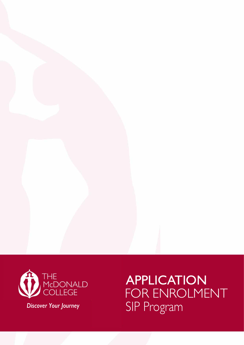

*Discover Your Journey* 

APPLICATION FOR ENROLMENT SIP Program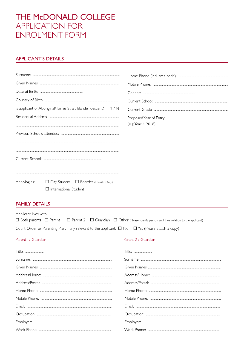# THE McDONALD COLLEGE **APPLICATION FOR ENROLMENT FORM**

# **APPLICANT'S DETAILS**

|              | Is applicant of Aboriginal/Torres Strait Islander descent? Y/N |                        |
|--------------|----------------------------------------------------------------|------------------------|
|              |                                                                | Proposed Year of Entry |
|              |                                                                |                        |
|              |                                                                |                        |
|              |                                                                |                        |
|              |                                                                |                        |
|              |                                                                |                        |
|              |                                                                |                        |
|              |                                                                |                        |
| Applying as: | $\Box$ Day Student $\Box$ Boarder (Female Only)                |                        |
|              | $\Box$ International Student                                   |                        |

# **FAMILY DETAILS**

Applicant lives with: □ Both parents □ Parent I □ Parent 2 □ Guardian □ Other (Please specify person and their relation to the applicant) Court Order or Parenting Plan, if any, relevant to the applicant:  $\Box$  No  $\Box$  Yes (Please attach a copy)

### Parent | / Guardian

### Parent 2 / Guardian

| Title: | Title: |
|--------|--------|
|        |        |
|        |        |
|        |        |
|        |        |
|        |        |
|        |        |
|        |        |
|        |        |
|        |        |
|        |        |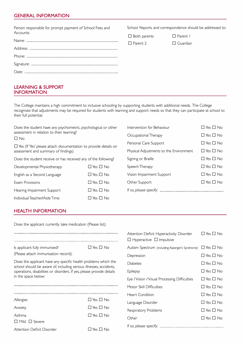# **GENERAL INFORMATION**

| Person responsible for prompt payment of School Fees and | School Reports and correspondence should be addressed to: |                 |  |
|----------------------------------------------------------|-----------------------------------------------------------|-----------------|--|
| Accounts:                                                | $\Box$ Both parents                                       | $\Box$ Parent   |  |
|                                                          | $\Box$ Parent 2                                           | $\Box$ Guardian |  |
| Address:                                                 |                                                           |                 |  |
|                                                          |                                                           |                 |  |
|                                                          |                                                           |                 |  |
| $\Box$ ater                                              |                                                           |                 |  |

# **LEARNING & SUPPORT INFORMATION**

The College maintains a high commitment to inclusive schooling by supporting students with additional needs. The College recognises that adjustments may be required for students with learning and support needs so that they can participate at school to their full potential.

| Does the student have any psychometric, psychological or other                                                |                      | Intervention for Behaviour                                                            | $\Box$ Yes $\Box$ No |
|---------------------------------------------------------------------------------------------------------------|----------------------|---------------------------------------------------------------------------------------|----------------------|
| assessment in relation to their learning?<br>$\Box$ No                                                        |                      | Occupational Therapy                                                                  | $\Box$ Yes $\Box$ No |
| $\Box$ Yes (If 'Yes' please attach documentation to provide details on<br>assessment and summary of findings) |                      | Personal Care Support                                                                 | $\Box$ Yes $\Box$ No |
|                                                                                                               |                      | Physical Adjustments to the Environment                                               | $\Box$ Yes $\Box$ No |
| Does the student receive or has received any of the following?                                                |                      | Signing or Braille                                                                    | $\Box$ Yes $\Box$ No |
| Developmental Physiotherapy                                                                                   | $\Box$ Yes $\Box$ No | Speech Therapy                                                                        | $\Box$ Yes $\Box$ No |
| English as a Second Language                                                                                  | $\Box$ Yes $\Box$ No | Vision Impairment Support                                                             | $\Box$ Yes $\Box$ No |
| Exam Provisions                                                                                               | $\Box$ Yes $\Box$ No | Other Support                                                                         | $\Box$ Yes $\Box$ No |
| Hearing Impairment Support                                                                                    | $\Box$ Yes $\Box$ No | If so, please specify: <i>communication communication communication</i> communication |                      |
| $\Box$ Yes $\Box$ No<br>Individual Teacher/Aide Time                                                          |                      |                                                                                       |                      |

### **HEALTH INFORMATION**

Does the applicant currently take medication (Please list):

| Is applicant fully immunised?<br>(Please attach immunisation record):                                                                                                                                                                | $\square$ Yes $\square$ No |  |  |
|--------------------------------------------------------------------------------------------------------------------------------------------------------------------------------------------------------------------------------------|----------------------------|--|--|
| Does the applicant have any specific health problems which the<br>school should be aware of, including serious illnesses, accidents,<br>operations, disabilities or disorders. If yes, please provide details<br>in the space below: |                            |  |  |
|                                                                                                                                                                                                                                      |                            |  |  |
|                                                                                                                                                                                                                                      |                            |  |  |
| Allergies                                                                                                                                                                                                                            | $\Box$ Yes $\Box$ No       |  |  |
| Anxiety                                                                                                                                                                                                                              | $\Box$ Yes $\Box$ No       |  |  |
| Asthma                                                                                                                                                                                                                               | $\square$ Yes $\square$ No |  |  |
| $\Box$ Mild $\Box$ Severe                                                                                                                                                                                                            |                            |  |  |
| Attention Deficit Disorder                                                                                                                                                                                                           | $\Box$ Yes $\Box$ No       |  |  |

| Attention Deficit Hyperactivity Disorder<br>$\Box$ Hyperactive $\Box$ Impulsive | $\Box$ Yes $\Box$ No       |
|---------------------------------------------------------------------------------|----------------------------|
| Autism Spectrum (including Asperger's Syndrome)                                 | $\Box$ Yes $\Box$ No       |
| Depression                                                                      | $\square$ Yes $\square$ No |
| Diabetes                                                                        | $\Box$ Yes $\Box$ No       |
| Epilepsy                                                                        | $\Box$ Yes $\Box$ No       |
| Eye / Vision / Visual Processing Difficulties                                   | $\Box$ Yes $\Box$ No       |
| Motor Skill Difficulties                                                        | $\square$ Yes $\square$ No |
| <b>Heart Condition</b>                                                          | $\Box$ Yes $\Box$ No       |
| Language Disorder                                                               | $\Box$ Yes $\Box$ No       |
| Respiratory Problems                                                            | $\square$ Yes $\square$ No |
| Other                                                                           | $\Box$ Yes $\Box$ No       |
|                                                                                 |                            |
|                                                                                 |                            |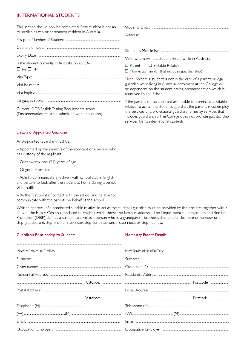# **INTERNATIONAL STUDENTS**

| This section should only be completed if the student is not an<br>Australian citizen or permanent resident in Australia. |                                                                                                                                                                                                                                                      |  |  |
|--------------------------------------------------------------------------------------------------------------------------|------------------------------------------------------------------------------------------------------------------------------------------------------------------------------------------------------------------------------------------------------|--|--|
|                                                                                                                          |                                                                                                                                                                                                                                                      |  |  |
|                                                                                                                          |                                                                                                                                                                                                                                                      |  |  |
|                                                                                                                          | With whom will the student reside while in Australia:                                                                                                                                                                                                |  |  |
| Is the student currently in Australia on a VISA?<br>$\Box$ Yes $\Box$ No                                                 | $\Box$ Parent $\Box$ Suitable Relative<br>$\Box$ Homestay Family (that includes guardianship)                                                                                                                                                        |  |  |
|                                                                                                                          | Note: Where a student is not in the care of a parent or legal                                                                                                                                                                                        |  |  |
|                                                                                                                          | guardian while living in Australia, enrolment at the College will<br>be dependent on the student having accommodation which is                                                                                                                       |  |  |
|                                                                                                                          | approved by the School.                                                                                                                                                                                                                              |  |  |
|                                                                                                                          | If the parents of the applicant are unable to nominate a suitable                                                                                                                                                                                    |  |  |
| Current IELTS/English Testing Requirments score:<br>(Documentation must be submitted with application)                   | relative to act as the student's guardian, the parents must employ<br>the services of a professional guardian/homestay services that<br>includes guardianship. The College does not provide guardianship<br>services for its international students. |  |  |

### **Details of Appointed Guardian**

An Appointed Guardian must be:

- Appointed by the parent/s of the applicant or a person who has custody of the applicant

- Over twenty-one (21) years of age

- Of good character

- Able to communicate effectively with school staff in English and be able to look after the student at home during a period of ill health

- Be the first point of contact with the school and be able to communicate with the parents on behalf of the school.

Written approval of a nominated suitable relative to act as the student's guardian must be provided by the parent/s together with a copy of the Family Census (translated to English) which shows the family relationship. The Department of Immigration and Border Protection (DIBP) defines a 'suitable relative' as a person who is: a grandparent, brother, sister, aunt, uncle, niece or nephew, or a step-grandparent, step-brother, step-sister, step-aunt, step-uncle, step-niece or step-nephew.

### Guardian's Relationship to Student:

#### **Homestay Parent Details:**

| Mr/Mrs/Ms/Miss/Dr/Rev | Mr/Mrs/Ms/Miss/Dr/Rev |
|-----------------------|-----------------------|
|                       |                       |
|                       |                       |
|                       |                       |
|                       |                       |
|                       |                       |
|                       |                       |
|                       |                       |
|                       |                       |
|                       |                       |
|                       |                       |